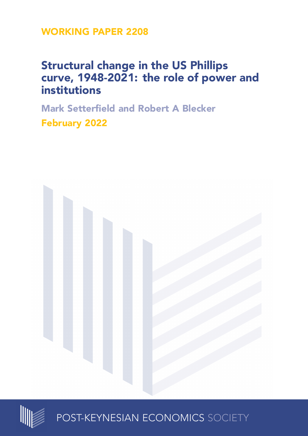**WORKING PAPER 2208**

# **Structural change in the US Phillips curve, 1948-2021: the role of power and institutions**

**Mark Setterfield and Robert A Blecker February 2022**





POST-KEYNESIAN ECONOMICS SOCIETY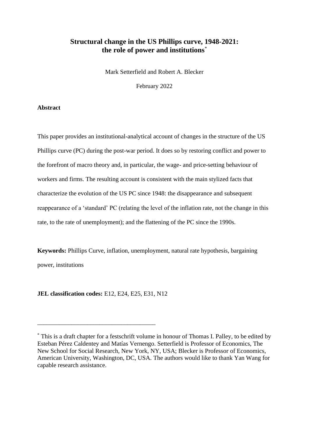# **Structural change in the US Phillips curve, 1948-2021: the role of power and institutions** \*

Mark Setterfield and Robert A. Blecker

February 2022

# **Abstract**

This paper provides an institutional-analytical account of changes in the structure of the US Phillips curve (PC) during the post-war period. It does so by restoring conflict and power to the forefront of macro theory and, in particular, the wage- and price-setting behaviour of workers and firms. The resulting account is consistent with the main stylized facts that characterize the evolution of the US PC since 1948: the disappearance and subsequent reappearance of a 'standard' PC (relating the level of the inflation rate, not the change in this rate, to the rate of unemployment); and the flattening of the PC since the 1990s.

**Keywords:** Phillips Curve, inflation, unemployment, natural rate hypothesis, bargaining power, institutions

**JEL classification codes:** E12, E24, E25, E31, N12

\_\_\_\_\_\_\_\_\_\_\_\_\_\_\_\_\_\_\_\_\_\_\_\_\_\_\_\_\_\_\_\_\_\_\_\_\_\_

<sup>\*</sup> This is a draft chapter for a festschrift volume in honour of Thomas I. Palley, to be edited by Esteban Pérez Caldentey and Matías Vernengo. Setterfield is Professor of Economics, The New School for Social Research, New York, NY, USA; Blecker is Professor of Economics, American University, Washington, DC, USA. The authors would like to thank Yan Wang for capable research assistance.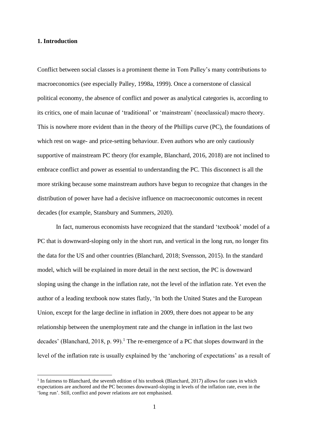#### **1. Introduction**

Conflict between social classes is a prominent theme in Tom Palley's many contributions to macroeconomics (see especially Palley, 1998a, 1999). Once a cornerstone of classical political economy, the absence of conflict and power as analytical categories is, according to its critics, one of main lacunae of 'traditional' or 'mainstream' (neoclassical) macro theory. This is nowhere more evident than in the theory of the Phillips curve (PC), the foundations of which rest on wage- and price-setting behaviour. Even authors who are only cautiously supportive of mainstream PC theory (for example, Blanchard, 2016, 2018) are not inclined to embrace conflict and power as essential to understanding the PC. This disconnect is all the more striking because some mainstream authors have begun to recognize that changes in the distribution of power have had a decisive influence on macroeconomic outcomes in recent decades (for example, Stansbury and Summers, 2020).

In fact, numerous economists have recognized that the standard 'textbook' model of a PC that is downward-sloping only in the short run, and vertical in the long run, no longer fits the data for the US and other countries (Blanchard, 2018; Svensson, 2015). In the standard model, which will be explained in more detail in the next section, the PC is downward sloping using the change in the inflation rate, not the level of the inflation rate. Yet even the author of a leading textbook now states flatly, 'In both the United States and the European Union, except for the large decline in inflation in 2009, there does not appear to be any relationship between the unemployment rate and the change in inflation in the last two decades' (Blanchard, 2018, p. 99).<sup>1</sup> The re-emergence of a PC that slopes downward in the level of the inflation rate is usually explained by the 'anchoring of expectations' as a result of

<sup>&</sup>lt;sup>1</sup> In fairness to Blanchard, the seventh edition of his textbook (Blanchard, 2017) allows for cases in which expectations are anchored and the PC becomes downward-sloping in levels of the inflation rate, even in the 'long run'. Still, conflict and power relations are not emphasised.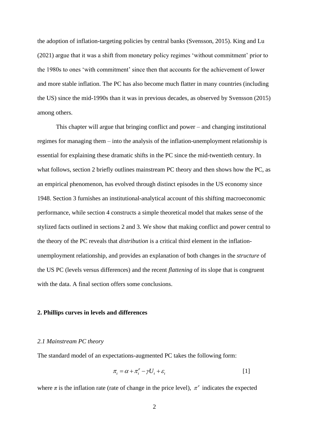the adoption of inflation-targeting policies by central banks (Svensson, 2015). King and Lu (2021) argue that it was a shift from monetary policy regimes 'without commitment' prior to the 1980s to ones 'with commitment' since then that accounts for the achievement of lower and more stable inflation. The PC has also become much flatter in many countries (including the US) since the mid-1990s than it was in previous decades, as observed by Svensson (2015) among others.

This chapter will argue that bringing conflict and power – and changing institutional regimes for managing them – into the analysis of the inflation-unemployment relationship is essential for explaining these dramatic shifts in the PC since the mid-twentieth century. In what follows, section 2 briefly outlines mainstream PC theory and then shows how the PC, as an empirical phenomenon, has evolved through distinct episodes in the US economy since 1948. Section 3 furnishes an institutional-analytical account of this shifting macroeconomic performance, while section 4 constructs a simple theoretical model that makes sense of the stylized facts outlined in sections 2 and 3. We show that making conflict and power central to the theory of the PC reveals that *distribution* is a critical third element in the inflationunemployment relationship, and provides an explanation of both changes in the *structure* of the US PC (levels versus differences) and the recent *flattening* of its slope that is congruent with the data. A final section offers some conclusions.

#### **2. Phillips curves in levels and differences**

#### *2.1 Mainstream PC theory*

The standard model of an expectations-augmented PC takes the following form:

$$
\pi_t = \alpha + \pi_t^e - \gamma U_t + \varepsilon_t \tag{1}
$$

where  $\pi$  is the inflation rate (rate of change in the price level),  $\pi^e$  indicates the expected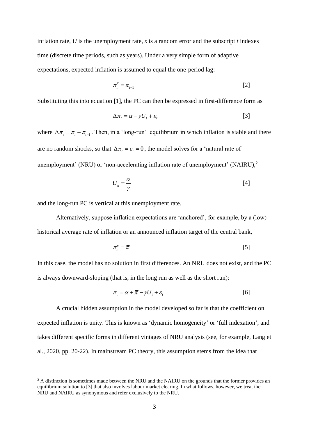inflation rate, *U* is the unemployment rate,  $\varepsilon$  is a random error and the subscript *t* indexes time (discrete time periods, such as years). Under a very simple form of adaptive expectations, expected inflation is assumed to equal the one-period lag:

$$
\pi_t^e = \pi_{t-1} \tag{2}
$$

Substituting this into equation [1], the PC can then be expressed in first-difference form as

$$
\Delta \pi_t = \alpha - \gamma U_t + \varepsilon_t \tag{3}
$$

where  $\Delta \pi_t = \pi_t - \pi_{t-1}$ . Then, in a 'long-run' equilibrium in which inflation is stable and there are no random shocks, so that  $\Delta \pi_t = \varepsilon_t = 0$ , the model solves for a 'natural rate of unemployment' (NRU) or 'non-accelerating inflation rate of unemployment' (NAIRU),<sup>2</sup>

$$
U_n = \frac{\alpha}{\gamma} \tag{4}
$$

and the long-run PC is vertical at this unemployment rate.

Alternatively, suppose inflation expectations are 'anchored', for example, by a (low) historical average rate of inflation or an announced inflation target of the central bank,

$$
\pi_t^e = \overline{\pi} \tag{5}
$$

In this case, the model has no solution in first differences. An NRU does not exist, and the PC is always downward-sloping (that is, in the long run as well as the short run):

$$
\pi_t = \alpha + \overline{\pi} - \gamma U_t + \varepsilon_t \tag{6}
$$

A crucial hidden assumption in the model developed so far is that the coefficient on expected inflation is unity. This is known as 'dynamic homogeneity' or 'full indexation', and takes different specific forms in different vintages of NRU analysis (see, for example, Lang et al., 2020, pp. 20-22). In mainstream PC theory, this assumption stems from the idea that

 $2$  A distinction is sometimes made between the NRU and the NAIRU on the grounds that the former provides an equilibrium solution to [3] that also involves labour market clearing. In what follows, however, we treat the NRU and NAIRU as synonymous and refer exclusively to the NRU.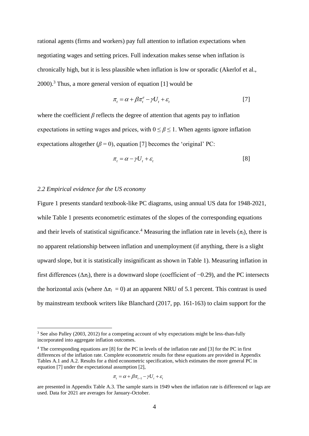rational agents (firms and workers) pay full attention to inflation expectations when negotiating wages and setting prices. Full indexation makes sense when inflation is chronically high, but it is less plausible when inflation is low or sporadic (Akerlof et al.,  $2000$ ).<sup>3</sup> Thus, a more general version of equation [1] would be

$$
\pi_t = \alpha + \beta \pi_t^e - \gamma U_t + \varepsilon_t \tag{7}
$$

where the coefficient  $\beta$  reflects the degree of attention that agents pay to inflation expectations in setting wages and prices, with  $0 \le \beta \le 1$ . When agents ignore inflation expectations altogether ( $\beta = 0$ ), equation [7] becomes the 'original' PC:

$$
\pi_t = \alpha - \gamma U_t + \varepsilon_t \tag{8}
$$

#### *2.2 Empirical evidence for the US economy*

Figure 1 presents standard textbook-like PC diagrams, using annual US data for 1948-2021, while Table 1 presents econometric estimates of the slopes of the corresponding equations and their levels of statistical significance.<sup>4</sup> Measuring the inflation rate in levels  $(\pi_t)$ , there is no apparent relationship between inflation and unemployment (if anything, there is a slight upward slope, but it is statistically insignificant as shown in Table 1). Measuring inflation in first differences ( $\Delta \pi$ <sub>*t*</sub>), there is a downward slope (coefficient of  $-0.29$ ), and the PC intersects the horizontal axis (where  $\Delta \pi_t = 0$ ) at an apparent NRU of 5.1 percent. This contrast is used by mainstream textbook writers like Blanchard (2017, pp. 161-163) to claim support for the

$$
\pi_t = \alpha + \beta \pi_{t-1} - \gamma U_t + \varepsilon_t
$$

<sup>&</sup>lt;sup>3</sup> See also Palley (2003, 2012) for a competing account of why expectations might be less-than-fully incorporated into aggregate inflation outcomes.

<sup>4</sup> The corresponding equations are [8] for the PC in levels of the inflation rate and [3] for the PC in first differences of the inflation rate. Complete econometric results for these equations are provided in Appendix Tables A.1 and A.2. Results for a third econometric specification, which estimates the more general PC in equation [7] under the expectational assumption [2],

are presented in Appendix Table A.3. The sample starts in 1949 when the inflation rate is differenced or lags are used. Data for 2021 are averages for January-October.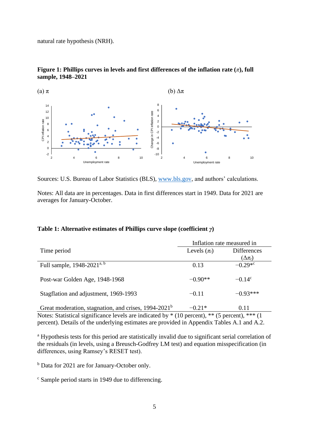natural rate hypothesis (NRH).





Sources: U.S. Bureau of Labor Statistics (BLS), [www.bls.gov,](http://www.bls.gov/) and authors' calculations.

Notes: All data are in percentages. Data in first differences start in 1949. Data for 2021 are averages for January-October.

## **Table 1: Alternative estimates of Phillips curve slope (coefficient** *γ***)**

|                                                                  | Inflation rate measured in |                       |  |  |
|------------------------------------------------------------------|----------------------------|-----------------------|--|--|
| Time period                                                      | Levels $(\pi_t)$           | <b>Differences</b>    |  |  |
|                                                                  |                            | $(\Delta \pi_t)$      |  |  |
| Full sample, 1948-2021 <sup>a, b</sup>                           | 0.13                       | $-0.29*$ <sup>c</sup> |  |  |
| Post-war Golden Age, 1948-1968                                   | $-0.90**$                  | $-0.14^{\circ}$       |  |  |
| Stagflation and adjustment, 1969-1993                            | $-0.11$                    | $-0.93***$            |  |  |
| Great moderation, stagnation, and crises, 1994-2021 <sup>b</sup> | $-0.21*$                   | 0.11                  |  |  |

Notes: Statistical significance levels are indicated by \* (10 percent), \*\* (5 percent), \*\*\* (1 percent). Details of the underlying estimates are provided in Appendix Tables A.1 and A.2.

<sup>a</sup> Hypothesis tests for this period are statistically invalid due to significant serial correlation of the residuals (in levels, using a Breusch-Godfrey LM test) and equation misspecification (in differences, using Ramsey's RESET test).

<sup>b</sup> Data for 2021 are for January-October only.

<sup>c</sup> Sample period starts in 1949 due to differencing.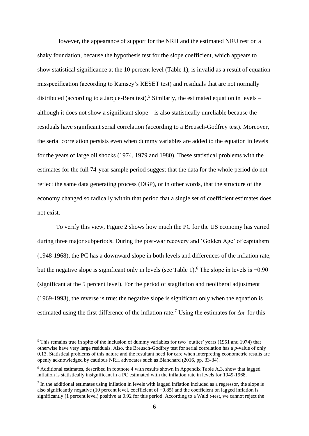However, the appearance of support for the NRH and the estimated NRU rest on a shaky foundation, because the hypothesis test for the slope coefficient, which appears to show statistical significance at the 10 percent level (Table 1), is invalid as a result of equation misspecification (according to Ramsey's RESET test) and residuals that are not normally distributed (according to a Jarque-Bera test).<sup>5</sup> Similarly, the estimated equation in levels – although it does not show a significant slope – is also statistically unreliable because the residuals have significant serial correlation (according to a Breusch-Godfrey test). Moreover, the serial correlation persists even when dummy variables are added to the equation in levels for the years of large oil shocks (1974, 1979 and 1980). These statistical problems with the estimates for the full 74-year sample period suggest that the data for the whole period do not reflect the same data generating process (DGP), or in other words, that the structure of the economy changed so radically within that period that a single set of coefficient estimates does not exist.

To verify this view, Figure 2 shows how much the PC for the US economy has varied during three major subperiods. During the post-war recovery and 'Golden Age' of capitalism (1948-1968), the PC has a downward slope in both levels and differences of the inflation rate, but the negative slope is significant only in levels (see Table 1).<sup>6</sup> The slope in levels is  $-0.90$ (significant at the 5 percent level). For the period of stagflation and neoliberal adjustment (1969-1993), the reverse is true: the negative slope is significant only when the equation is estimated using the first difference of the inflation rate.<sup>7</sup> Using the estimates for  $\Delta \pi_t$  for this

<sup>5</sup> This remains true in spite of the inclusion of dummy variables for two 'outlier' years (1951 and 1974) that otherwise have very large residuals. Also, the Breusch-Godfrey test for serial correlation has a *p*-value of only 0.13. Statistical problems of this nature and the resultant need for care when interpreting econometric results are openly acknowledged by cautious NRH advocates such as Blanchard (2016, pp. 33-34).

<sup>6</sup> Additional estimates, described in footnote 4 with results shown in Appendix Table A.3, show that lagged inflation is statistically insignificant in a PC estimated with the inflation rate in levels for 1949-1968.

<sup>7</sup> In the additional estimates using inflation in levels with lagged inflation included as a regressor, the slope is also significantly negative (10 percent level, coefficient of −0.85) and the coefficient on lagged inflation is significantly (1 percent level) positive at 0.92 for this period. According to a Wald *t*-test, we cannot reject the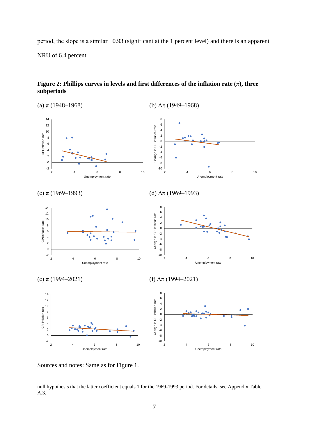period, the slope is a similar −0.93 (significant at the 1 percent level) and there is an apparent NRU of 6.4 percent.





Sources and notes: Same as for Figure 1.

null hypothesis that the latter coefficient equals 1 for the 1969-1993 period. For details, see Appendix Table A.3.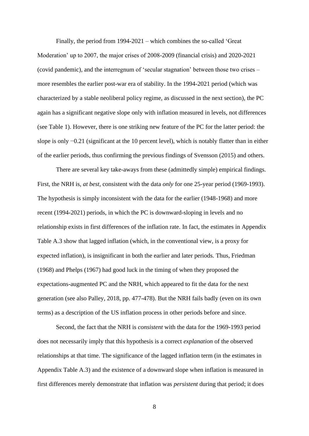Finally, the period from 1994-2021 – which combines the so-called 'Great Moderation' up to 2007, the major crises of 2008-2009 (financial crisis) and 2020-2021 (covid pandemic), and the interregnum of 'secular stagnation' between those two crises – more resembles the earlier post-war era of stability. In the 1994-2021 period (which was characterized by a stable neoliberal policy regime, as discussed in the next section), the PC again has a significant negative slope only with inflation measured in levels, not differences (see Table 1). However, there is one striking new feature of the PC for the latter period: the slope is only  $-0.21$  (significant at the 10 percent level), which is notably flatter than in either of the earlier periods, thus confirming the previous findings of Svensson (2015) and others.

There are several key take-aways from these (admittedly simple) empirical findings. First, the NRH is, *at best*, consistent with the data *only* for one 25-year period (1969-1993). The hypothesis is simply inconsistent with the data for the earlier (1948-1968) and more recent (1994-2021) periods, in which the PC is downward-sloping in levels and no relationship exists in first differences of the inflation rate. In fact, the estimates in Appendix Table A.3 show that lagged inflation (which, in the conventional view, is a proxy for expected inflation), is insignificant in both the earlier and later periods. Thus, Friedman (1968) and Phelps (1967) had good luck in the timing of when they proposed the expectations-augmented PC and the NRH, which appeared to fit the data for the next generation (see also Palley, 2018, pp. 477-478). But the NRH fails badly (even on its own terms) as a description of the US inflation process in other periods before and since.

Second, the fact that the NRH is *consistent* with the data for the 1969-1993 period does not necessarily imply that this hypothesis is a correct *explanation* of the observed relationships at that time. The significance of the lagged inflation term (in the estimates in Appendix Table A.3) and the existence of a downward slope when inflation is measured in first differences merely demonstrate that inflation was *persistent* during that period; it does

8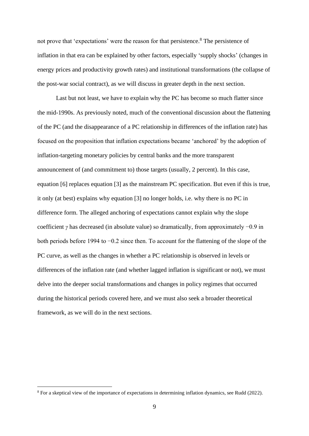not prove that 'expectations' were the reason for that persistence.<sup>8</sup> The persistence of inflation in that era can be explained by other factors, especially 'supply shocks' (changes in energy prices and productivity growth rates) and institutional transformations (the collapse of the post-war social contract), as we will discuss in greater depth in the next section.

Last but not least, we have to explain why the PC has become so much flatter since the mid-1990s. As previously noted, much of the conventional discussion about the flattening of the PC (and the disappearance of a PC relationship in differences of the inflation rate) has focused on the proposition that inflation expectations became 'anchored' by the adoption of inflation-targeting monetary policies by central banks and the more transparent announcement of (and commitment to) those targets (usually, 2 percent). In this case, equation [6] replaces equation [3] as the mainstream PC specification. But even if this is true, it only (at best) explains why equation [3] no longer holds, i.e. why there is no PC in difference form. The alleged anchoring of expectations cannot explain why the slope coefficient *γ* has decreased (in absolute value) so dramatically, from approximately −0.9 in both periods before 1994 to −0.2 since then. To account for the flattening of the slope of the PC curve, as well as the changes in whether a PC relationship is observed in levels or differences of the inflation rate (and whether lagged inflation is significant or not), we must delve into the deeper social transformations and changes in policy regimes that occurred during the historical periods covered here, and we must also seek a broader theoretical framework, as we will do in the next sections.

<sup>8</sup> For a skeptical view of the importance of expectations in determining inflation dynamics, see Rudd (2022).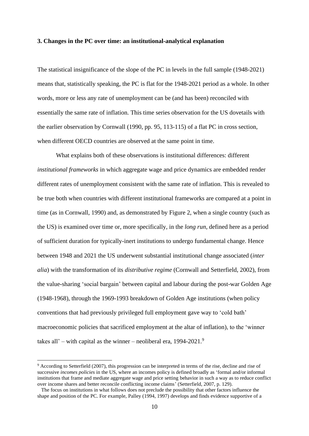#### **3. Changes in the PC over time: an institutional-analytical explanation**

The statistical insignificance of the slope of the PC in levels in the full sample (1948-2021) means that, statistically speaking, the PC is flat for the 1948-2021 period as a whole. In other words, more or less any rate of unemployment can be (and has been) reconciled with essentially the same rate of inflation. This time series observation for the US dovetails with the earlier observation by Cornwall (1990, pp. 95, 113-115) of a flat PC in cross section, when different OECD countries are observed at the same point in time.

What explains both of these observations is institutional differences: different *institutional frameworks* in which aggregate wage and price dynamics are embedded render different rates of unemployment consistent with the same rate of inflation. This is revealed to be true both when countries with different institutional frameworks are compared at a point in time (as in Cornwall, 1990) and, as demonstrated by Figure 2, when a single country (such as the US) is examined over time or, more specifically, in the *long run*, defined here as a period of sufficient duration for typically-inert institutions to undergo fundamental change. Hence between 1948 and 2021 the US underwent substantial institutional change associated (*inter alia*) with the transformation of its *distributive regime* (Cornwall and Setterfield, 2002), from the value-sharing 'social bargain' between capital and labour during the post-war Golden Age (1948-1968), through the 1969-1993 breakdown of Golden Age institutions (when policy conventions that had previously privileged full employment gave way to 'cold bath' macroeconomic policies that sacrificed employment at the altar of inflation), to the 'winner takes all' – with capital as the winner – neoliberal era,  $1994-2021$ .<sup>9</sup>

<sup>9</sup> According to Setterfield (2007), this progression can be interpreted in terms of the rise, decline and rise of successive *incomes policies* in the US, where an incomes policy is defined broadly as 'formal and/or informal institutions that frame and mediate aggregate wage and price setting behavior in such a way as to reduce conflict over income shares and better reconcile conflicting income claims' (Setterfield, 2007, p. 129).

The focus on institutions in what follows does not preclude the possibility that other factors influence the shape and position of the PC. For example, Palley (1994, 1997) develops and finds evidence supportive of a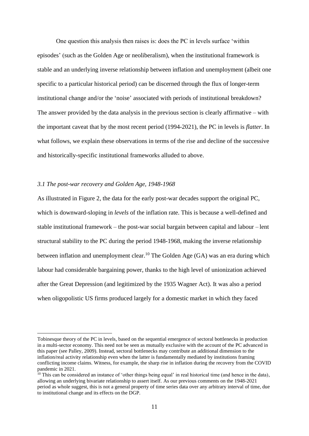One question this analysis then raises is: does the PC in levels surface 'within episodes' (such as the Golden Age or neoliberalism), when the institutional framework is stable and an underlying inverse relationship between inflation and unemployment (albeit one specific to a particular historical period) can be discerned through the flux of longer-term institutional change and/or the 'noise' associated with periods of institutional breakdown? The answer provided by the data analysis in the previous section is clearly affirmative – with the important caveat that by the most recent period (1994-2021), the PC in levels is *flatter*. In what follows, we explain these observations in terms of the rise and decline of the successive and historically-specific institutional frameworks alluded to above.

### *3.1 The post-war recovery and Golden Age, 1948-1968*

As illustrated in Figure 2, the data for the early post-war decades support the original PC, which is downward-sloping in *levels* of the inflation rate. This is because a well-defined and stable institutional framework – the post-war social bargain between capital and labour – lent structural stability to the PC during the period 1948-1968, making the inverse relationship between inflation and unemployment clear.<sup>10</sup> The Golden Age  $(GA)$  was an era during which labour had considerable bargaining power, thanks to the high level of unionization achieved after the Great Depression (and legitimized by the 1935 Wagner Act). It was also a period when oligopolistic US firms produced largely for a domestic market in which they faced

Tobinesque theory of the PC in levels, based on the sequential emergence of sectoral bottlenecks in production in a multi-sector economy. This need not be seen as mutually exclusive with the account of the PC advanced in this paper (see Palley, 2009). Instead, sectoral bottlenecks may contribute an additional dimension to the inflation/real activity relationship even when the latter is fundamentally mediated by institutions framing conflicting income claims. Witness, for example, the sharp rise in inflation during the recovery from the COVID pandemic in 2021.

 $10$  This can be considered an instance of 'other things being equal' in real historical time (and hence in the data), allowing an underlying bivariate relationship to assert itself. As our previous comments on the 1948-2021 period as whole suggest, this is not a general property of time series data over any arbitrary interval of time, due to institutional change and its effects on the DGP.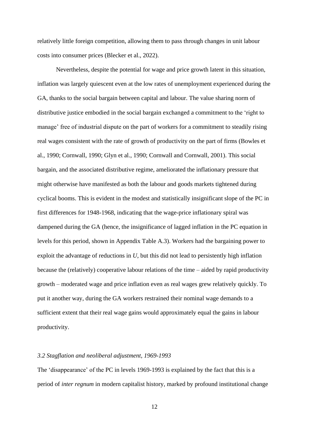relatively little foreign competition, allowing them to pass through changes in unit labour costs into consumer prices (Blecker et al., 2022).

Nevertheless, despite the potential for wage and price growth latent in this situation, inflation was largely quiescent even at the low rates of unemployment experienced during the GA, thanks to the social bargain between capital and labour. The value sharing norm of distributive justice embodied in the social bargain exchanged a commitment to the 'right to manage' free of industrial dispute on the part of workers for a commitment to steadily rising real wages consistent with the rate of growth of productivity on the part of firms (Bowles et al., 1990; Cornwall, 1990; Glyn et al., 1990; Cornwall and Cornwall, 2001). This social bargain, and the associated distributive regime, ameliorated the inflationary pressure that might otherwise have manifested as both the labour and goods markets tightened during cyclical booms. This is evident in the modest and statistically insignificant slope of the PC in first differences for 1948-1968, indicating that the wage-price inflationary spiral was dampened during the GA (hence, the insignificance of lagged inflation in the PC equation in levels for this period, shown in Appendix Table A.3). Workers had the bargaining power to exploit the advantage of reductions in *U*, but this did not lead to persistently high inflation because the (relatively) cooperative labour relations of the time – aided by rapid productivity growth – moderated wage and price inflation even as real wages grew relatively quickly. To put it another way, during the GA workers restrained their nominal wage demands to a sufficient extent that their real wage gains would approximately equal the gains in labour productivity.

### *3.2 Stagflation and neoliberal adjustment, 1969-1993*

The 'disappearance' of the PC in levels 1969-1993 is explained by the fact that this is a period of *inter regnum* in modern capitalist history, marked by profound institutional change

12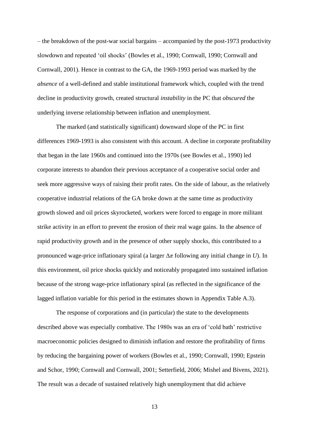– the breakdown of the post-war social bargains – accompanied by the post-1973 productivity slowdown and repeated 'oil shocks' (Bowles et al., 1990; Cornwall, 1990; Cornwall and Cornwall, 2001). Hence in contrast to the GA, the 1969-1993 period was marked by the *absence* of a well-defined and stable institutional framework which, coupled with the trend decline in productivity growth, created structural *instability* in the PC that *obscured* the underlying inverse relationship between inflation and unemployment.

The marked (and statistically significant) downward slope of the PC in first differences 1969-1993 is also consistent with this account. A decline in corporate profitability that began in the late 1960s and continued into the 1970s (see Bowles et al., 1990) led corporate interests to abandon their previous acceptance of a cooperative social order and seek more aggressive ways of raising their profit rates. On the side of labour, as the relatively cooperative industrial relations of the GA broke down at the same time as productivity growth slowed and oil prices skyrocketed, workers were forced to engage in more militant strike activity in an effort to prevent the erosion of their real wage gains. In the absence of rapid productivity growth and in the presence of other supply shocks, this contributed to a pronounced wage-price inflationary spiral (a larger Δ*π* following any initial change in *U*). In this environment, oil price shocks quickly and noticeably propagated into sustained inflation because of the strong wage-price inflationary spiral (as reflected in the significance of the lagged inflation variable for this period in the estimates shown in Appendix Table A.3).

The response of corporations and (in particular) the state to the developments described above was especially combative. The 1980s was an era of 'cold bath' restrictive macroeconomic policies designed to diminish inflation and restore the profitability of firms by reducing the bargaining power of workers (Bowles et al., 1990; Cornwall, 1990; Epstein and Schor, 1990; Cornwall and Cornwall, 2001; Setterfield, 2006; Mishel and Bivens, 2021). The result was a decade of sustained relatively high unemployment that did achieve

13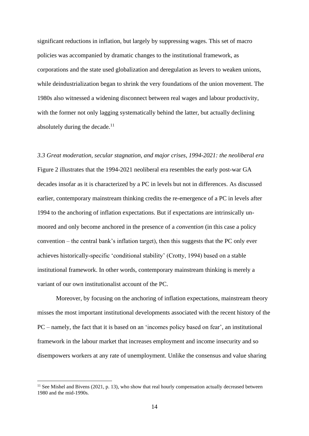significant reductions in inflation, but largely by suppressing wages. This set of macro policies was accompanied by dramatic changes to the institutional framework, as corporations and the state used globalization and deregulation as levers to weaken unions, while deindustrialization began to shrink the very foundations of the union movement. The 1980s also witnessed a widening disconnect between real wages and labour productivity, with the former not only lagging systematically behind the latter, but actually declining absolutely during the decade.<sup>11</sup>

*3.3 Great moderation, secular stagnation, and major crises, 1994-2021: the neoliberal era* Figure 2 illustrates that the 1994-2021 neoliberal era resembles the early post-war GA decades insofar as it is characterized by a PC in levels but not in differences. As discussed earlier, contemporary mainstream thinking credits the re-emergence of a PC in levels after 1994 to the anchoring of inflation expectations. But if expectations are intrinsically unmoored and only become anchored in the presence of a *convention* (in this case a policy convention – the central bank's inflation target), then this suggests that the PC only ever achieves historically-specific 'conditional stability' (Crotty, 1994) based on a stable institutional framework. In other words, contemporary mainstream thinking is merely a variant of our own institutionalist account of the PC.

Moreover, by focusing on the anchoring of inflation expectations, mainstream theory misses the most important institutional developments associated with the recent history of the PC – namely, the fact that it is based on an 'incomes policy based on fear', an institutional framework in the labour market that increases employment and income insecurity and so disempowers workers at any rate of unemployment. Unlike the consensus and value sharing

 $11$  See Mishel and Bivens (2021, p. 13), who show that real hourly compensation actually decreased between 1980 and the mid-1990s.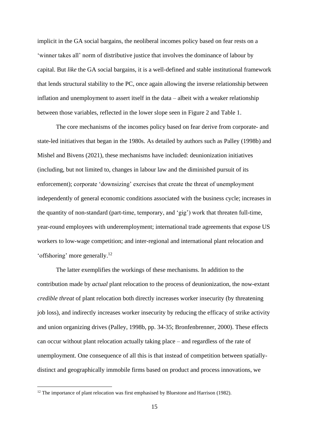implicit in the GA social bargains, the neoliberal incomes policy based on fear rests on a 'winner takes all' norm of distributive justice that involves the dominance of labour by capital. But *like* the GA social bargains, it is a well-defined and stable institutional framework that lends structural stability to the PC, once again allowing the inverse relationship between inflation and unemployment to assert itself in the data – albeit with a weaker relationship between those variables, reflected in the lower slope seen in Figure 2 and Table 1.

The core mechanisms of the incomes policy based on fear derive from corporate- and state-led initiatives that began in the 1980s. As detailed by authors such as Palley (1998b) and Mishel and Bivens (2021), these mechanisms have included: deunionization initiatives (including, but not limited to, changes in labour law and the diminished pursuit of its enforcement); corporate 'downsizing' exercises that create the threat of unemployment independently of general economic conditions associated with the business cycle; increases in the quantity of non-standard (part-time, temporary, and 'gig') work that threaten full-time, year-round employees with underemployment; international trade agreements that expose US workers to low-wage competition; and inter-regional and international plant relocation and 'offshoring' more generally. 12

The latter exemplifies the workings of these mechanisms. In addition to the contribution made by *actual* plant relocation to the process of deunionization, the now-extant *credible threat* of plant relocation both directly increases worker insecurity (by threatening job loss), and indirectly increases worker insecurity by reducing the efficacy of strike activity and union organizing drives (Palley, 1998b, pp. 34-35; Bronfenbrenner, 2000). These effects can occur without plant relocation actually taking place – and regardless of the rate of unemployment. One consequence of all this is that instead of competition between spatiallydistinct and geographically immobile firms based on product and process innovations, we

<sup>&</sup>lt;sup>12</sup> The importance of plant relocation was first emphasised by Bluestone and Harrison (1982).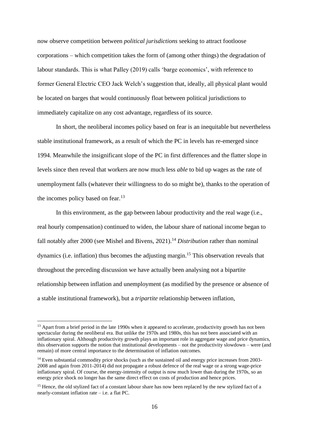now observe competition between *political jurisdictions* seeking to attract footloose corporations – which competition takes the form of (among other things) the degradation of labour standards. This is what Palley (2019) calls 'barge economics', with reference to former General Electric CEO Jack Welch's suggestion that, ideally, all physical plant would be located on barges that would continuously float between political jurisdictions to immediately capitalize on any cost advantage, regardless of its source.

In short, the neoliberal incomes policy based on fear is an inequitable but nevertheless stable institutional framework, as a result of which the PC in levels has re-emerged since 1994. Meanwhile the insignificant slope of the PC in first differences and the flatter slope in levels since then reveal that workers are now much less *able* to bid up wages as the rate of unemployment falls (whatever their willingness to do so might be), thanks to the operation of the incomes policy based on fear.<sup>13</sup>

In this environment, as the gap between labour productivity and the real wage (i.e., real hourly compensation) continued to widen, the labour share of national income began to fall notably after 2000 (see Mishel and Bivens, 2021). <sup>14</sup> *Distribution* rather than nominal dynamics (i.e. inflation) thus becomes the adjusting margin.<sup>15</sup> This observation reveals that throughout the preceding discussion we have actually been analysing not a bipartite relationship between inflation and unemployment (as modified by the presence or absence of a stable institutional framework), but a *tripartite* relationship between inflation,

<sup>&</sup>lt;sup>13</sup> Apart from a brief period in the late 1990s when it appeared to accelerate, productivity growth has not been spectacular during the neoliberal era. But unlike the 1970s and 1980s, this has not been associated with an inflationary spiral. Although productivity growth plays an important role in aggregate wage and price dynamics, this observation supports the notion that institutional developments – not the productivity slowdown – were (and remain) of more central importance to the determination of inflation outcomes.

<sup>&</sup>lt;sup>14</sup> Even substantial commodity price shocks (such as the sustained oil and energy price increases from 2003-2008 and again from 2011-2014) did not propagate a robust defence of the real wage or a strong wage-price inflationary spiral. Of course, the energy-intensity of output is now much lower than during the 1970s, so an energy price shock no longer has the same direct effect on costs of production and hence prices.

<sup>&</sup>lt;sup>15</sup> Hence, the old stylized fact of a constant labour share has now been replaced by the new stylized fact of a nearly-constant inflation rate – i.e. a flat PC.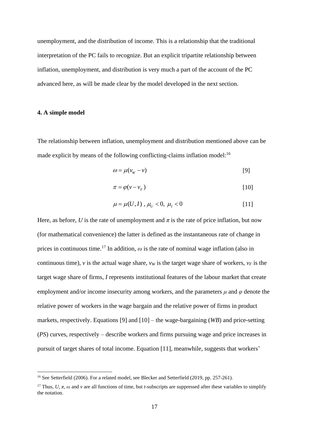unemployment, and the distribution of income. This is a relationship that the traditional interpretation of the PC fails to recognize. But an explicit tripartite relationship between inflation, unemployment, and distribution is very much a part of the account of the PC advanced here, as will be made clear by the model developed in the next section.

## **4. A simple model**

The relationship between inflation, unemployment and distribution mentioned above can be made explicit by means of the following conflicting-claims inflation model:<sup>16</sup>

$$
\omega = \mu(v_w - v) \tag{9}
$$

$$
\pi = \varphi(\nu - \nu_F) \tag{10}
$$

$$
\mu = \mu(U, I) , \mu_U < 0, \mu_I < 0 \tag{11}
$$

Here, as before, *U* is the rate of unemployment and  $\pi$  is the rate of price inflation, but now (for mathematical convenience) the latter is defined as the instantaneous rate of change in prices in continuous time.<sup>17</sup> In addition,  $\omega$  is the rate of nominal wage inflation (also in continuous time), *v* is the actual wage share,  $v_W$  is the target wage share of workers,  $v_F$  is the target wage share of firms, *I* represents institutional features of the labour market that create employment and/or income insecurity among workers, and the parameters  $\mu$  and  $\varphi$  denote the relative power of workers in the wage bargain and the relative power of firms in product markets, respectively. Equations [9] and [10] – the wage-bargaining (*WB*) and price-setting (*PS*) curves, respectively – describe workers and firms pursuing wage and price increases in pursuit of target shares of total income. Equation [11], meanwhile, suggests that workers'

<sup>&</sup>lt;sup>16</sup> See Setterfield (2006). For a related model, see Blecker and Setterfield (2019, pp. 257-261).

<sup>&</sup>lt;sup>17</sup> Thus, *U*,  $\pi$ ,  $\omega$  and  $\nu$  are all functions of time, but *t*-subscripts are suppressed after these variables to simplify the notation.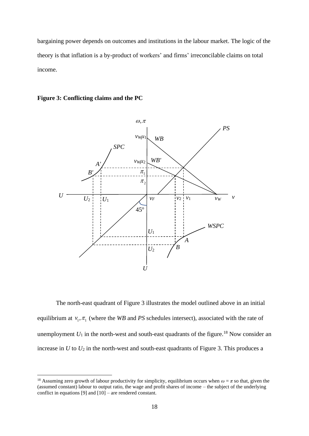bargaining power depends on outcomes and institutions in the labour market. The logic of the theory is that inflation is a by-product of workers' and firms' irreconcilable claims on total income.

#### **Figure 3: Conflicting claims and the PC**



The north-east quadrant of Figure 3 illustrates the model outlined above in an initial equilibrium at  $v_1$ ,  $\pi_1$  (where the *WB* and *PS* schedules intersect), associated with the rate of unemployment  $U_1$  in the north-west and south-east quadrants of the figure.<sup>18</sup> Now consider an increase in  $U$  to  $U_2$  in the north-west and south-east quadrants of Figure 3. This produces a

<sup>&</sup>lt;sup>18</sup> Assuming zero growth of labour productivity for simplicity, equilibrium occurs when  $\omega = \pi$  so that, given the (assumed constant) labour to output ratio, the wage and profit shares of income – the subject of the underlying conflict in equations [9] and [10] – are rendered constant.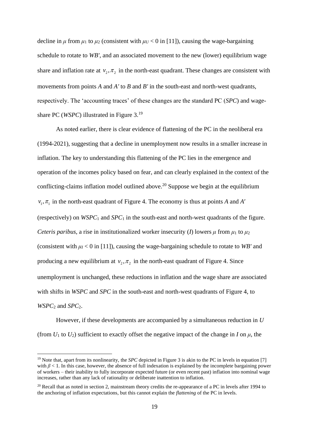decline in  $\mu$  from  $\mu_1$  to  $\mu_2$  (consistent with  $\mu_U < 0$  in [11]), causing the wage-bargaining schedule to rotate to *WB'*, and an associated movement to the new (lower) equilibrium wage share and inflation rate at  $v_2, \pi_2$  in the north-east quadrant. These changes are consistent with movements from points *A* and *A'* to *B* and *B'* in the south-east and north-west quadrants, respectively. The 'accounting traces' of these changes are the standard PC (*SPC*) and wageshare PC (*WSPC*) illustrated in Figure 3. 19

As noted earlier, there is clear evidence of flattening of the PC in the neoliberal era (1994-2021), suggesting that a decline in unemployment now results in a smaller increase in inflation. The key to understanding this flattening of the PC lies in the emergence and operation of the incomes policy based on fear, and can clearly explained in the context of the conflicting-claims inflation model outlined above.<sup>20</sup> Suppose we begin at the equilibrium  $v_1$ ,  $\pi_1$  in the north-east quadrant of Figure 4. The economy is thus at points *A* and *A'* (respectively) on  $WSPC_1$  and  $SPC_1$  in the south-east and north-west quadrants of the figure. *Ceteris paribus,* a rise in institutionalized worker insecurity (*I*) lowers  $\mu$  from  $\mu_1$  to  $\mu_2$ (consistent with  $\mu$ <sub>I</sub> < 0 in [11]), causing the wage-bargaining schedule to rotate to *WB'* and producing a new equilibrium at  $v_2$ ,  $\pi_2$  in the north-east quadrant of Figure 4. Since unemployment is unchanged, these reductions in inflation and the wage share are associated with shifts in *WSPC* and *SPC* in the south-east and north-west quadrants of Figure 4, to *WSPC*<sup>2</sup> and *SPC*2.

However, if these developments are accompanied by a simultaneous reduction in *U*  (from  $U_1$  to  $U_2$ ) sufficient to exactly offset the negative impact of the change in *I* on  $\mu$ , the

<sup>&</sup>lt;sup>19</sup> Note that, apart from its nonlinearity, the *SPC* depicted in Figure 3 is akin to the PC in levels in equation [7] with  $\beta$  < 1. In this case, however, the absence of full indexation is explained by the incomplete bargaining power of workers – their inability to fully incorporate expected future (or even recent past) inflation into nominal wage increases, rather than any lack of rationality or deliberate inattention to inflation.

 $20$  Recall that as noted in section 2, mainstream theory credits the re-appearance of a PC in levels after 1994 to the anchoring of inflation expectations, but this cannot explain the *flattening* of the PC in levels.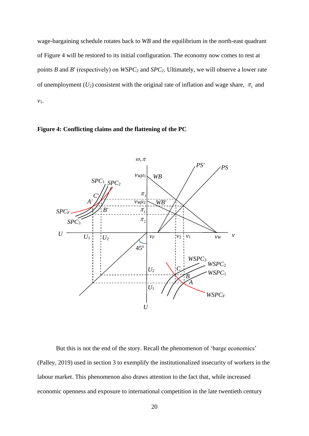wage-bargaining schedule rotates back to *WB* and the equilibrium in the north-east quadrant of Figure 4 will be restored to its initial configuration. The economy now comes to rest at points *B* and *B*′ (respectively) on *WSPC*<sup>2</sup> and *SPC*2. Ultimately, we will observe a lower rate of unemployment  $(U_2)$  consistent with the original rate of inflation and wage share,  $\pi_1$  and *v*1.





But this is not the end of the story. Recall the phenomenon of 'barge economics' (Palley, 2019) used in section 3 to exemplify the institutionalized insecurity of workers in the labour market. This phenomenon also draws attention to the fact that, while increased economic openness and exposure to international competition in the late twentieth century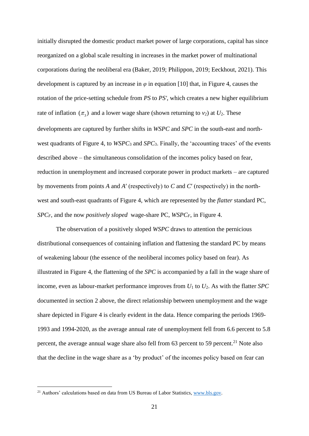initially disrupted the domestic product market power of large corporations, capital has since reorganized on a global scale resulting in increases in the market power of multinational corporations during the neoliberal era (Baker, 2019; Philippon, 2019; Eeckhout, 2021). This development is captured by an increase in  $\varphi$  in equation [10] that, in Figure 4, causes the rotation of the price-setting schedule from *PS* to *PS'*, which creates a new higher equilibrium rate of inflation  $(\pi_3)$  and a lower wage share (shown returning to *v*<sub>2</sub>) at *U*<sub>2</sub>. These developments are captured by further shifts in *WSPC* and *SPC* in the south-east and northwest quadrants of Figure 4, to *WSPC*<sub>3</sub> and *SPC*<sub>3</sub>. Finally, the 'accounting traces' of the events described above – the simultaneous consolidation of the incomes policy based on fear, reduction in unemployment and increased corporate power in product markets – are captured by movements from points *A* and *A*′ (respectively) to *C* and *C*′ (respectively) in the northwest and south-east quadrants of Figure 4, which are represented by the *flatter* standard PC, *SPCF*, and the now *positively sloped* wage-share PC, *WSPCF*, in Figure 4.

The observation of a positively sloped *WSPC* draws to attention the pernicious distributional consequences of containing inflation and flattening the standard PC by means of weakening labour (the essence of the neoliberal incomes policy based on fear). As illustrated in Figure 4, the flattening of the *SPC* is accompanied by a fall in the wage share of income, even as labour-market performance improves from *U*<sup>1</sup> to *U*2. As with the flatter *SPC* documented in section 2 above, the direct relationship between unemployment and the wage share depicted in Figure 4 is clearly evident in the data. Hence comparing the periods 1969- 1993 and 1994-2020, as the average annual rate of unemployment fell from 6.6 percent to 5.8 percent, the average annual wage share also fell from 63 percent to 59 percent.<sup>21</sup> Note also that the decline in the wage share as a 'by product' of the incomes policy based on fear can

<sup>&</sup>lt;sup>21</sup> Authors' calculations based on data from US Bureau of Labor Statistics, [www.bls.gov.](http://www.bls.gov/)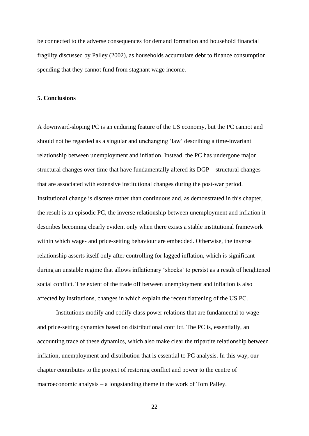be connected to the adverse consequences for demand formation and household financial fragility discussed by Palley (2002), as households accumulate debt to finance consumption spending that they cannot fund from stagnant wage income.

#### **5. Conclusions**

A downward-sloping PC is an enduring feature of the US economy, but the PC cannot and should not be regarded as a singular and unchanging 'law' describing a time-invariant relationship between unemployment and inflation. Instead, the PC has undergone major structural changes over time that have fundamentally altered its DGP – structural changes that are associated with extensive institutional changes during the post-war period. Institutional change is discrete rather than continuous and, as demonstrated in this chapter, the result is an episodic PC, the inverse relationship between unemployment and inflation it describes becoming clearly evident only when there exists a stable institutional framework within which wage- and price-setting behaviour are embedded. Otherwise, the inverse relationship asserts itself only after controlling for lagged inflation, which is significant during an unstable regime that allows inflationary 'shocks' to persist as a result of heightened social conflict. The extent of the trade off between unemployment and inflation is also affected by institutions, changes in which explain the recent flattening of the US PC.

Institutions modify and codify class power relations that are fundamental to wageand price-setting dynamics based on distributional conflict. The PC is, essentially, an accounting trace of these dynamics, which also make clear the tripartite relationship between inflation, unemployment and distribution that is essential to PC analysis. In this way, our chapter contributes to the project of restoring conflict and power to the centre of macroeconomic analysis – a longstanding theme in the work of Tom Palley.

22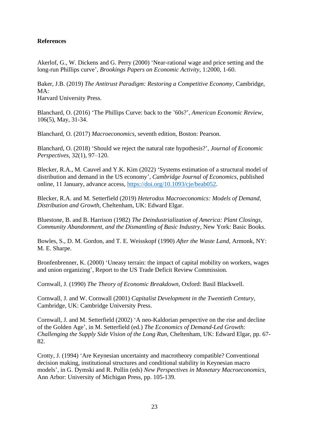# **References**

Akerlof, G., W. Dickens and G. Perry (2000) 'Near-rational wage and price setting and the long-run Phillips curve', *Brookings Papers on Economic Activity*, 1:2000, 1-60.

Baker, J.B. (2019) *The Antitrust Paradigm: Restoring a Competitive Economy*, Cambridge, MA:

Harvard University Press.

Blanchard, O. (2016) 'The Phillips Curve: back to the '60s?', *American Economic Review*, 106(5), May, 31-34.

Blanchard, O. (2017) *Macroeconomics*, seventh edition, Boston: Pearson.

Blanchard, O. (2018) 'Should we reject the natural rate hypothesis?', *Journal of Economic Perspectives*, 32(1), 97–120.

Blecker, R.A., M. Cauvel and Y.K. Kim (2022) 'Systems estimation of a structural model of distribution and demand in the US economy', *Cambridge Journal of Economics*, published online, 11 January, advance access, [https://doi.org/10.1093/cje/beab052.](https://doi.org/10.1093/cje/beab052)

Blecker, R.A. and M. Setterfield (2019) *Heterodox Macroeconomics: Models of Demand, Distribution and Growth*, Cheltenham, UK: Edward Elgar.

Bluestone, B. and B. Harrison (1982) *The Deindustrialization of America: Plant Closings, Community Abandonment, and the Dismantling of Basic Industry*, New York: Basic Books.

Bowles, S., D. M. Gordon, and T. E. Weisskopf (1990) *After the Waste Land*, Armonk, NY: M. E. Sharpe.

Bronfenbrenner, K. (2000) 'Uneasy terrain: the impact of capital mobility on workers, wages and union organizing', Report to the US Trade Deficit Review Commission.

Cornwall, J. (1990) *The Theory of Economic Breakdown*, Oxford: Basil Blackwell.

Cornwall, J. and W. Cornwall (2001) *Capitalist Development in the Twentieth Century*, Cambridge, UK: Cambridge University Press.

Cornwall, J. and M. Setterfield (2002) 'A neo-Kaldorian perspective on the rise and decline of the Golden Age', in M. Setterfield (ed.) *The Economics of Demand-Led Growth: Challenging the Supply Side Vision of the Long Run*, Cheltenham, UK: Edward Elgar, pp. 67- 82.

Crotty, J. (1994) 'Are Keynesian uncertainty and macrotheory compatible? Conventional decision making, institutional structures and conditional stability in Keynesian macro models', in G. Dymski and R. Pollin (eds) *New Perspectives in Monetary Macroeconomics*, Ann Arbor: University of Michigan Press, pp. 105-139.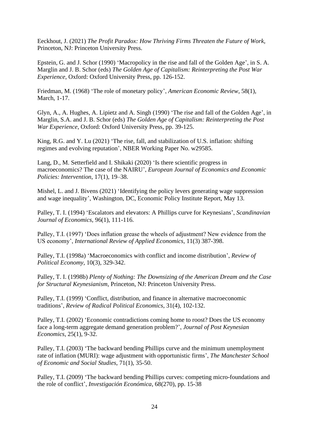Eeckhout, J. (2021) *The Profit Paradox: How Thriving Firms Threaten the Future of Work*, Princeton, NJ: Princeton University Press.

Epstein, G. and J. Schor (1990) 'Macropolicy in the rise and fall of the Golden Age', in S. A. Marglin and J. B. Schor (eds) *The Golden Age of Capitalism: Reinterpreting the Post War Experience*, Oxford: Oxford University Press, pp. 126-152.

Friedman, M. (1968) 'The role of monetary policy', *American Economic Review*, 58(1), March, 1-17.

Glyn, A., A. Hughes, A. Lipietz and A. Singh (1990) 'The rise and fall of the Golden Age', in Marglin, S.A. and J. B. Schor (eds) *The Golden Age of Capitalism: Reinterpreting the Post War Experience*, Oxford: Oxford University Press, pp. 39-125.

King, R.G. and Y. Lu (2021) 'The rise, fall, and stabilization of U.S. inflation: shifting regimes and evolving reputation', NBER Working Paper No. w29585.

Lang, D., M. Setterfield and I. Shikaki (2020) 'Is there scientific progress in macroeconomics? The case of the NAIRU', *European Journal of Economics and Economic Policies: Intervention*, 17(1), 19–38.

Mishel, L. and J. Bivens (2021) 'Identifying the policy levers generating wage suppression and wage inequality', Washington, DC, Economic Policy Institute Report, May 13.

Palley, T. I. (1994) 'Escalators and elevators: A Phillips curve for Keynesians', *Scandinavian Journal of Economics*, 96(1), 111-116.

Palley, T.I. (1997) 'Does inflation grease the wheels of adjustment? New evidence from the US economy', *International Review of Applied Economics*, 11(3) 387-398.

Palley, T.I. (1998a) 'Macroeconomics with conflict and income distribution', *Review of Political Economy*, 10(3), 329-342.

Palley, T. I. (1998b) *Plenty of Nothing: The Downsizing of the American Dream and the Case for Structural Keynesianism*, Princeton, NJ: Princeton University Press.

Palley, T.I. (1999) 'Conflict, distribution, and finance in alternative macroeconomic traditions', *Review of Radical Political Economics*, 31(4), 102-132.

Palley, T.I. (2002) 'Economic contradictions coming home to roost? Does the US economy face a long-term aggregate demand generation problem?', *Journal of Post Keynesian Economics*, 25(1), 9-32.

Palley, T.I. (2003) 'The backward bending Phillips curve and the minimum unemployment rate of inflation (MURI): wage adjustment with opportunistic firms', *The Manchester School of Economic and Social Studies*, 71(1), 35-50.

Palley, T.I. (2009) 'The backward bending Phillips curves: competing micro-foundations and the role of conflict', *Investigación Económica*, 68(270), pp. 15-38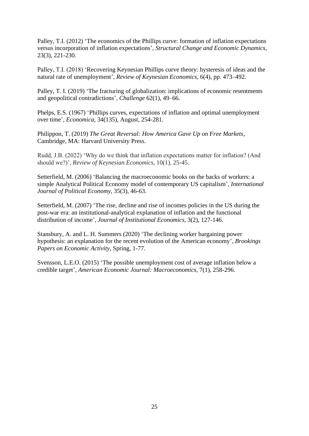Palley, T.I. (2012) 'The economics of the Phillips curve: formation of inflation expectations versus incorporation of inflation expectations', *Structural Change and Economic Dynamics*, 23(3), 221-230.

Palley, T.I. (2018) 'Recovering Keynesian Phillips curve theory: hysteresis of ideas and the natural rate of unemployment', *Review of Keynesian Economics*, 6(4), pp. 473–492.

Palley, T. I. (2019) 'The fracturing of globalization: implications of economic resentments and geopolitical contradictions', *Challenge* 62(1), 49–66.

Phelps, E.S. (1967) 'Phillips curves, expectations of inflation and optimal unemployment over time', *Economica*, 34(135), August, 254-281.

Philippon, T. (2019) *The Great Reversal: How America Gave Up on Free Markets*, Cambridge, MA: Harvard University Press.

Rudd, J.B. (2022) 'Why do we think that inflation expectations matter for inflation? (And should we?)', *Review of Keynesian Economics*, 10(1), 25-45.

Setterfield, M. (2006) 'Balancing the macroeconomic books on the backs of workers: a simple Analytical Political Economy model of contemporary US capitalism', *International Journal of Political Economy*, 35(3), 46-63.

Setterfield, M. (2007) 'The rise, decline and rise of incomes policies in the US during the post-war era: an institutional-analytical explanation of inflation and the functional distribution of income', *Journal of Institutional Economics*, 3(2), 127-146.

Stansbury, A. and L. H. Summers (2020) 'The declining worker bargaining power hypothesis: an explanation for the recent evolution of the American economy', *Brookings Papers on Economic Activity*, Spring, 1-77.

Svensson, L.E.O. (2015) 'The possible unemployment cost of average inflation below a credible target', *American Economic Journal: Macroeconomics*, 7(1), 258-296.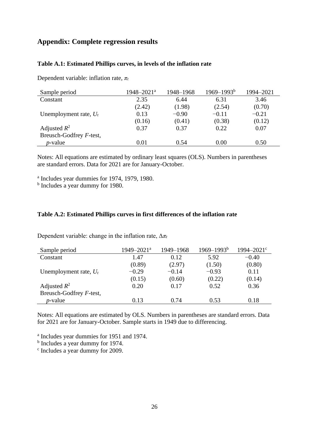# **Appendix: Complete regression results**

#### **Table A.1: Estimated Phillips curves, in levels of the inflation rate**

Dependent variable: inflation rate, *π<sup>t</sup>*

| Sample period            | $1948 - 2021$ <sup>a</sup> | 1948-1968 | $1969 - 1993^b$ | 1994-2021 |
|--------------------------|----------------------------|-----------|-----------------|-----------|
| Constant                 | 2.35                       | 6.44      | 6.31            | 3.46      |
|                          | (2.42)                     | (1.98)    | (2.54)          | (0.70)    |
| Unemployment rate, $U_t$ | 0.13                       | $-0.90$   | $-0.11$         | $-0.21$   |
|                          | (0.16)                     | (0.41)    | (0.38)          | (0.12)    |
| Adjusted $R^2$           | 0.37                       | 0.37      | 0.22            | 0.07      |
| Breusch-Godfrey F-test,  |                            |           |                 |           |
| $p$ -value               | 0.01                       | 0.54      | 0.00            | 0.50      |

Notes: All equations are estimated by ordinary least squares (OLS). Numbers in parentheses are standard errors. Data for 2021 are for January-October.

a Includes year dummies for 1974, 1979, 1980.

<sup>b</sup> Includes a year dummy for 1980.

#### **Table A.2: Estimated Phillips curves in first differences of the inflation rate**

Dependent variable: change in the inflation rate, Δ*π<sup>t</sup>*

| Sample period            | 1949-2021 <sup>a</sup> | 1949-1968 | $1969 - 1993^b$ | $1994 - 2021$ ° |
|--------------------------|------------------------|-----------|-----------------|-----------------|
| Constant                 | 1.47                   | 0.12      | 5.92            | $-0.40$         |
|                          | (0.89)                 | (2.97)    | (1.50)          | (0.80)          |
| Unemployment rate, $U_t$ | $-0.29$                | $-0.14$   | $-0.93$         | 0.11            |
|                          | (0.15)                 | (0.60)    | (0.22)          | (0.14)          |
| Adjusted $R^2$           | 0.20                   | 0.17      | 0.52            | 0.36            |
| Breusch-Godfrey F-test,  |                        |           |                 |                 |
| $p$ -value               | 0.13                   | 0.74      | 0.53            | 0.18            |

Notes: All equations are estimated by OLS. Numbers in parentheses are standard errors. Data for 2021 are for January-October. Sample starts in 1949 due to differencing.

a Includes year dummies for 1951 and 1974.

<sup>b</sup> Includes a year dummy for 1974.

c Includes a year dummy for 2009.